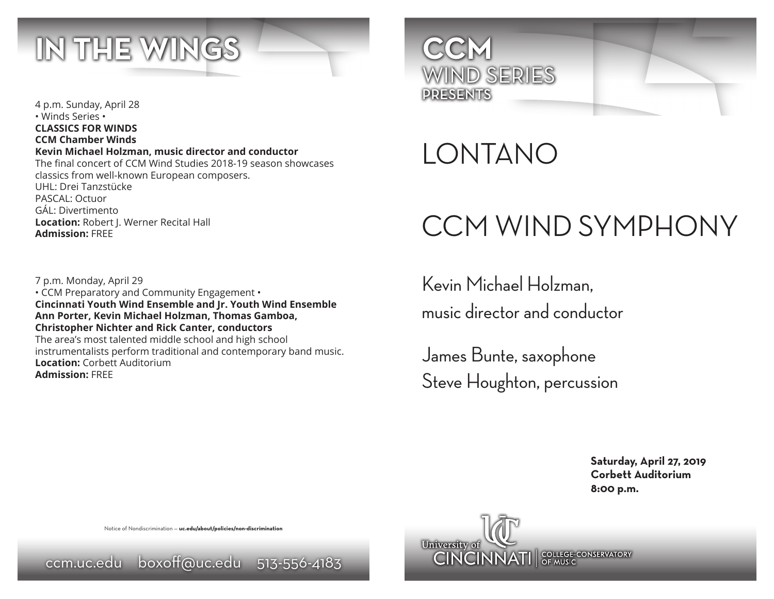

4 p.m. Sunday, April 28 • Winds Series • **CLASSICS FOR WINDS CCM Chamber Winds Kevin Michael Holzman, music director and conductor** The final concert of CCM Wind Studies 2018-19 season showcases classics from well-known European composers. UHL: Drei Tanzstücke PASCAL: Octuor GÁL: Divertimento **Location:** Robert J. Werner Recital Hall **Admission:** FREE

7 p.m. Monday, April 29 • CCM Preparatory and Community Engagement • **Cincinnati Youth Wind Ensemble and Jr. Youth Wind Ensemble Ann Porter, Kevin Michael Holzman, Thomas Gamboa, Christopher Nichter and Rick Canter, conductors** The area's most talented middle school and high school instrumentalists perform traditional and contemporary band music. **Location:** Corbett Auditorium **Admission:** FREE



LONTANO

# CCM WIND SYMPHONY

Kevin Michael Holzman, music director and conductor

James Bunte, saxophone Steve Houghton, percussion

> **Saturday, April 27, 2019 Corbett Auditorium 8:00 p.m.**



Notice of Nondiscrimination — **uc.edu/about/policies/non-discrimination**

ccm.uc.edu boxoff@uc.edu 513-556-4183